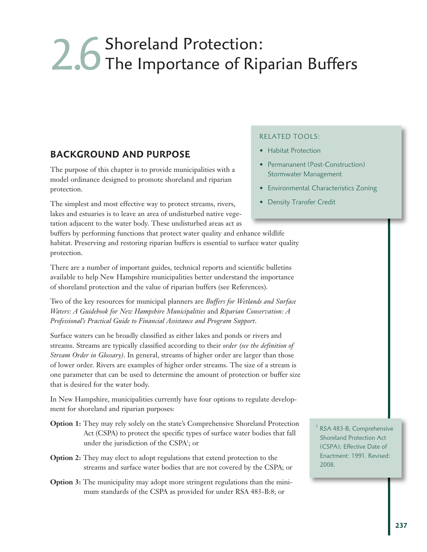# 2.6 Shoreland Protection:<br>2.6 The Importance of Riparian Buffers

## **BACKGROUND AND PURPOSE**

The purpose of this chapter is to provide municipalities with a model ordinance designed to promote shoreland and riparian protection.

The simplest and most effective way to protect streams, rivers, lakes and estuaries is to leave an area of undisturbed native vegetation adjacent to the water body. These undisturbed areas act as

#### RELATED TOOLS:

- Habitat Protection
- Permananent (Post-Construction) Stormwater Management
- Environmental Characteristics Zoning
- Density Transfer Credit

buffers by performing functions that protect water quality and enhance wildlife habitat. Preserving and restoring riparian buffers is essential to surface water quality protection. There are a number of important guides, technical reports and scientific bulletins

available to help New Hampshire municipalities better understand the importance of shoreland protection and the value of riparian buffers (see References).

Two of the key resources for municipal planners are *Buffers for Wetlands and Surface Waters: A Guidebook for New Hampshire Municipalities* and *Riparian Conservation: A Professional's Practical Guide to Financial Assistance and Program Support*.

Surface waters can be broadly classified as either lakes and ponds or rivers and streams. Streams are typically classified according to their *order (see the definition of Stream Order in Glossary)*. In general, streams of higher order are larger than those of lower order. Rivers are examples of higher order streams. The size of a stream is one parameter that can be used to determine the amount of protection or buffer size that is desired for the water body.

In New Hampshire, municipalities currently have four options to regulate development for shoreland and riparian purposes:

- **Option 1:** They may rely solely on the state's Comprehensive Shoreland Protection Act (CSPA) to protect the specific types of surface water bodies that fall under the jurisdiction of the CSPA<sup>1</sup>; or
- **Option 2:** They may elect to adopt regulations that extend protection to the streams and surface water bodies that are not covered by the CSPA; or
- **Option 3:** The municipality may adopt more stringent regulations than the minimum standards of the CSPA as provided for under RSA 483-B:8; or

<sup>1</sup> RSA 483-B, Comprehensive Shoreland Protection Act (CSPA); Effective Date of Enactment: 1991. Revised: 2008.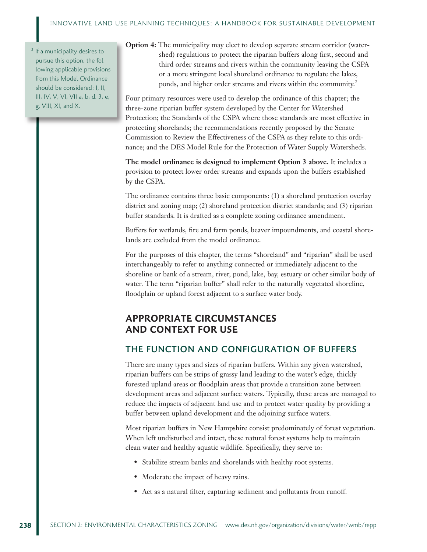<sup>2</sup> If a municipality desires to pursue this option, the following applicable provisions from this Model Ordinance should be considered: I, II, III, IV, V, VI, VII a, b, d. 3, e, g, VIII, XI, and X.

**Option 4:** The municipality may elect to develop separate stream corridor (watershed) regulations to protect the riparian buffers along first, second and third order streams and rivers within the community leaving the CSPA or a more stringent local shoreland ordinance to regulate the lakes, ponds, and higher order streams and rivers within the community.<sup>2</sup>

Four primary resources were used to develop the ordinance of this chapter; the three-zone riparian buffer system developed by the Center for Watershed Protection; the Standards of the CSPA where those standards are most effective in protecting shorelands; the recommendations recently proposed by the Senate Commission to Review the Effectiveness of the CSPA as they relate to this ordinance; and the DES Model Rule for the Protection of Water Supply Watersheds.

**The model ordinance is designed to implement Option 3 above.** It includes a provision to protect lower order streams and expands upon the buffers established by the CSPA.

The ordinance contains three basic components: (1) a shoreland protection overlay district and zoning map; (2) shoreland protection district standards; and (3) riparian buffer standards. It is drafted as a complete zoning ordinance amendment.

Buffers for wetlands, fire and farm ponds, beaver impoundments, and coastal shorelands are excluded from the model ordinance.

For the purposes of this chapter, the terms "shoreland" and "riparian" shall be used interchangeably to refer to anything connected or immediately adjacent to the shoreline or bank of a stream, river, pond, lake, bay, estuary or other similar body of water. The term "riparian buffer" shall refer to the naturally vegetated shoreline, floodplain or upland forest adjacent to a surface water body.

## **APPROPRIATE CIRCUMSTANCES AND CONTEXT FOR USE**

#### THE FUNCTION AND CONFIGURATION OF BUFFERS

There are many types and sizes of riparian buffers. Within any given watershed, riparian buffers can be strips of grassy land leading to the water's edge, thickly forested upland areas or floodplain areas that provide a transition zone between development areas and adjacent surface waters. Typically, these areas are managed to reduce the impacts of adjacent land use and to protect water quality by providing a buffer between upland development and the adjoining surface waters.

Most riparian buffers in New Hampshire consist predominately of forest vegetation. When left undisturbed and intact, these natural forest systems help to maintain clean water and healthy aquatic wildlife. Specifically, they serve to:

- Stabilize stream banks and shorelands with healthy root systems.
- Moderate the impact of heavy rains.
- Act as a natural filter, capturing sediment and pollutants from runoff.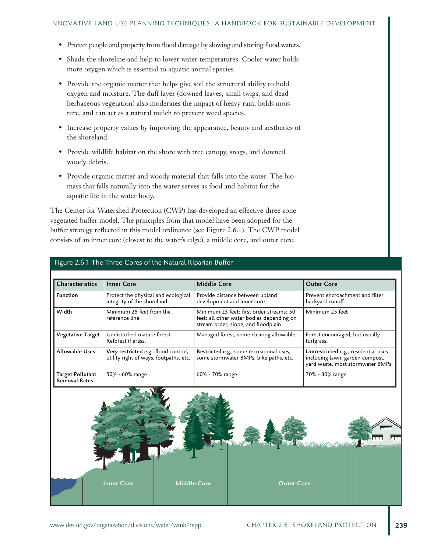- Protect people and property from flood damage by slowing and storing flood waters.
- Shade the shoreline and help to lower water temperatures. Cooler water holds more oxygen which is essential to aquatic animal species.
- Provide the organic matter that helps give soil the structural ability to hold oxygen and moisture. The duff layer (downed leaves, small twigs, and dead herbaceous vegetation) also moderates the impact of heavy rain, holds moisture, and can act as a natural mulch to prevent weed species.
- Increase property values by improving the appearance, beauty and aesthetics of the shoreland.
- Provide wildlife habitat on the shore with tree canopy, snags, and downed woody debris.
- Provide organic matter and woody material that falls into the water. The biomass that falls naturally into the water serves as food and habitat for the aquatic life in the water body.

The Center for Watershed Protection (CWP) has developed an effective three zone vegetated buffer model. The principles from that model have been adopted for the buffer strategy reflected in this model ordinance (see Figure 2.6.1). The CWP model consists of an inner core (closest to the water's edge), a middle core, and outer core.

| Characteristics                                 | <b>Inner Core</b>                                                              | <b>Middle Core</b>                                                                                                           | <b>Outer Core</b>                                                                                            |
|-------------------------------------------------|--------------------------------------------------------------------------------|------------------------------------------------------------------------------------------------------------------------------|--------------------------------------------------------------------------------------------------------------|
| <b>Function</b>                                 | Protect the physical and ecological<br>integrity of the shoreland              | Provide distance between upland<br>development and inner core                                                                | Prevent encroachment and filter<br>backyard runoff.                                                          |
| Width                                           | Minimum 25 feet from the<br>reference line                                     | Minimum 25 feet: first order streams: 50<br>feet: all other water bodies depending on<br>stream order, slope, and floodplain | Minimum 25 feet                                                                                              |
| <b>Vegetative Target</b>                        | Undisturbed mature forest.<br>Reforest if grass.                               | Managed forest, some clearing allowable.                                                                                     | Forest encouraged, but usually<br>turfgrass.                                                                 |
| <b>Allowable Uses</b>                           | Very restricted e.g., flood control,<br>utility right of ways, footpaths, etc. | Restricted e.g., some recreational uses,<br>some stormwater BMPs, bike paths, etc.                                           | Untrestricted e.g., residential uses<br>including lawn, garden compost,<br>yard waste, most stormwater BMPs. |
| <b>Target Pollutant</b><br><b>Removal Rates</b> | 50% - 60% range                                                                | 60% - 70% range                                                                                                              | 70% - 80% range                                                                                              |

#### Figure 2.6.1 The Three Cores of the Natural Riparian Buffer

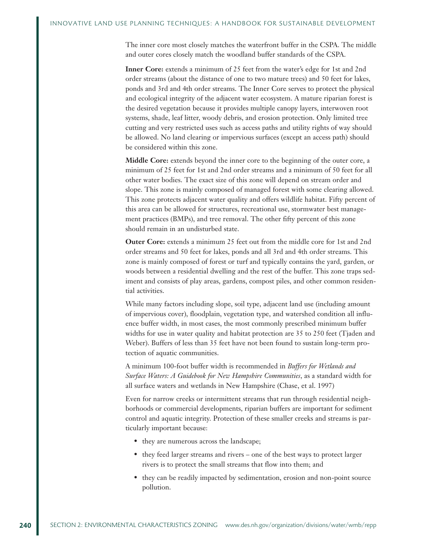The inner core most closely matches the waterfront buffer in the CSPA. The middle and outer cores closely match the woodland buffer standards of the CSPA.

**Inner Core:** extends a minimum of 25 feet from the water's edge for 1st and 2nd order streams (about the distance of one to two mature trees) and 50 feet for lakes, ponds and 3rd and 4th order streams. The Inner Core serves to protect the physical and ecological integrity of the adjacent water ecosystem. A mature riparian forest is the desired vegetation because it provides multiple canopy layers, interwoven root systems, shade, leaf litter, woody debris, and erosion protection. Only limited tree cutting and very restricted uses such as access paths and utility rights of way should be allowed. No land clearing or impervious surfaces (except an access path) should be considered within this zone.

**Middle Core:** extends beyond the inner core to the beginning of the outer core, a minimum of 25 feet for 1st and 2nd order streams and a minimum of 50 feet for all other water bodies. The exact size of this zone will depend on stream order and slope. This zone is mainly composed of managed forest with some clearing allowed. This zone protects adjacent water quality and offers wildlife habitat. Fifty percent of this area can be allowed for structures, recreational use, stormwater best management practices (BMPs), and tree removal. The other fifty percent of this zone should remain in an undisturbed state.

**Outer Core:** extends a minimum 25 feet out from the middle core for 1st and 2nd order streams and 50 feet for lakes, ponds and all 3rd and 4th order streams. This zone is mainly composed of forest or turf and typically contains the yard, garden, or woods between a residential dwelling and the rest of the buffer. This zone traps sediment and consists of play areas, gardens, compost piles, and other common residential activities.

While many factors including slope, soil type, adjacent land use (including amount of impervious cover), floodplain, vegetation type, and watershed condition all influence buffer width, in most cases, the most commonly prescribed minimum buffer widths for use in water quality and habitat protection are 35 to 250 feet (Tjaden and Weber). Buffers of less than 35 feet have not been found to sustain long-term protection of aquatic communities.

A minimum 100-foot buffer width is recommended in *Buffers for Wetlands and Surface Waters: A Guidebook for New Hampshire Communities*, as a standard width for all surface waters and wetlands in New Hampshire (Chase, et al. 1997)

Even for narrow creeks or intermittent streams that run through residential neighborhoods or commercial developments, riparian buffers are important for sediment control and aquatic integrity. Protection of these smaller creeks and streams is particularly important because:

- they are numerous across the landscape;
- they feed larger streams and rivers one of the best ways to protect larger rivers is to protect the small streams that flow into them; and
- they can be readily impacted by sedimentation, erosion and non-point source pollution.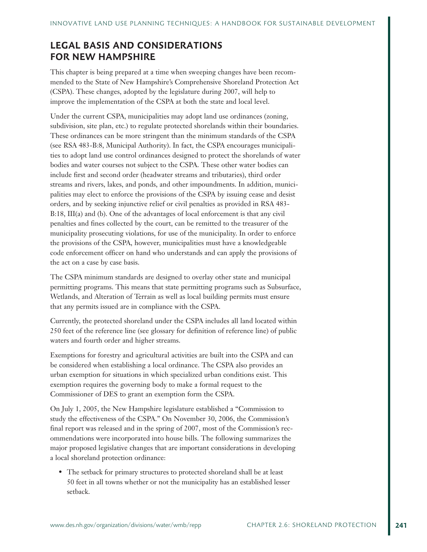## **LEGAL BASIS AND CONSIDERATIONS FOR NEW HAMPSHIRE**

This chapter is being prepared at a time when sweeping changes have been recommended to the State of New Hampshire's Comprehensive Shoreland Protection Act (CSPA). These changes, adopted by the legislature during 2007, will help to improve the implementation of the CSPA at both the state and local level.

Under the current CSPA, municipalities may adopt land use ordinances (zoning, subdivision, site plan, etc.) to regulate protected shorelands within their boundaries. These ordinances can be more stringent than the minimum standards of the CSPA (see RSA 483-B:8, Municipal Authority). In fact, the CSPA encourages municipalities to adopt land use control ordinances designed to protect the shorelands of water bodies and water courses not subject to the CSPA. These other water bodies can include first and second order (headwater streams and tributaries), third order streams and rivers, lakes, and ponds, and other impoundments. In addition, municipalities may elect to enforce the provisions of the CSPA by issuing cease and desist orders, and by seeking injunctive relief or civil penalties as provided in RSA 483- B:18, III(a) and (b). One of the advantages of local enforcement is that any civil penalties and fines collected by the court, can be remitted to the treasurer of the municipality prosecuting violations, for use of the municipality. In order to enforce the provisions of the CSPA, however, municipalities must have a knowledgeable code enforcement officer on hand who understands and can apply the provisions of the act on a case by case basis.

The CSPA minimum standards are designed to overlay other state and municipal permitting programs. This means that state permitting programs such as Subsurface, Wetlands, and Alteration of Terrain as well as local building permits must ensure that any permits issued are in compliance with the CSPA.

Currently, the protected shoreland under the CSPA includes all land located within 250 feet of the reference line (see glossary for definition of reference line) of public waters and fourth order and higher streams.

Exemptions for forestry and agricultural activities are built into the CSPA and can be considered when establishing a local ordinance. The CSPA also provides an urban exemption for situations in which specialized urban conditions exist. This exemption requires the governing body to make a formal request to the Commissioner of DES to grant an exemption form the CSPA.

On July 1, 2005, the New Hampshire legislature established a "Commission to study the effectiveness of the CSPA." On November 30, 2006, the Commission's final report was released and in the spring of 2007, most of the Commission's recommendations were incorporated into house bills. The following summarizes the major proposed legislative changes that are important considerations in developing a local shoreland protection ordinance:

• The setback for primary structures to protected shoreland shall be at least 50 feet in all towns whether or not the municipality has an established lesser setback.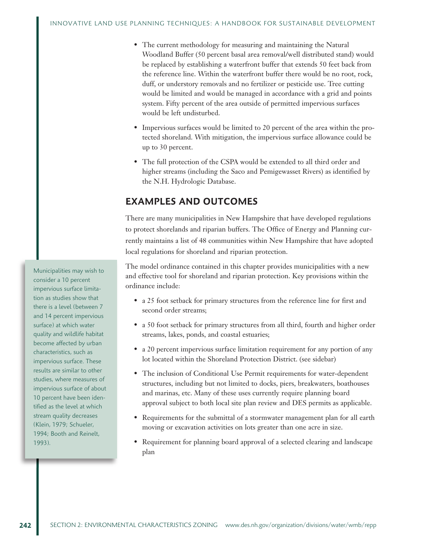- The current methodology for measuring and maintaining the Natural Woodland Buffer (50 percent basal area removal/well distributed stand) would be replaced by establishing a waterfront buffer that extends 50 feet back from the reference line. Within the waterfront buffer there would be no root, rock, duff, or understory removals and no fertilizer or pesticide use. Tree cutting would be limited and would be managed in accordance with a grid and points system. Fifty percent of the area outside of permitted impervious surfaces would be left undisturbed.
- Impervious surfaces would be limited to 20 percent of the area within the protected shoreland. With mitigation, the impervious surface allowance could be up to 30 percent.
- The full protection of the CSPA would be extended to all third order and higher streams (including the Saco and Pemigewasset Rivers) as identified by the N.H. Hydrologic Database.

## **EXAMPLES AND OUTCOMES**

There are many municipalities in New Hampshire that have developed regulations to protect shorelands and riparian buffers. The Office of Energy and Planning currently maintains a list of 48 communities within New Hampshire that have adopted local regulations for shoreland and riparian protection.

The model ordinance contained in this chapter provides municipalities with a new and effective tool for shoreland and riparian protection. Key provisions within the ordinance include:

- a 25 foot setback for primary structures from the reference line for first and second order streams;
- a 50 foot setback for primary structures from all third, fourth and higher order streams, lakes, ponds, and coastal estuaries;
- a 20 percent impervious surface limitation requirement for any portion of any lot located within the Shoreland Protection District. (see sidebar)
- The inclusion of Conditional Use Permit requirements for water-dependent structures, including but not limited to docks, piers, breakwaters, boathouses and marinas, etc. Many of these uses currently require planning board approval subject to both local site plan review and DES permits as applicable.
- Requirements for the submittal of a stormwater management plan for all earth moving or excavation activities on lots greater than one acre in size.
- Requirement for planning board approval of a selected clearing and landscape plan

Municipalities may wish to consider a 10 percent impervious surface limitation as studies show that there is a level (between 7 and 14 percent impervious surface) at which water quality and wildlife habitat become affected by urban characteristics, such as impervious surface. These results are similar to other studies, where measures of impervious surface of about 10 percent have been identified as the level at which stream quality decreases (Klein, 1979; Schueler, 1994; Booth and Reinelt, 1993).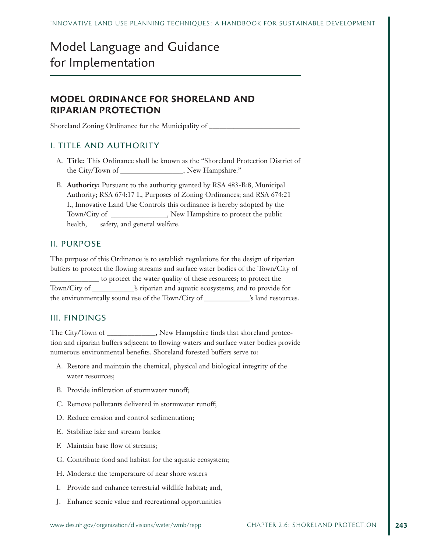## Model Language and Guidance for Implementation

## **MODEL ORDINANCE FOR SHORELAND AND RIPARIAN PROTECTION**

Shoreland Zoning Ordinance for the Municipality of

## I. TITLE AND AUTHORITY

- A. **Title:** This Ordinance shall be known as the "Shoreland Protection District of the City/Town of \_\_\_\_\_\_\_\_\_\_\_\_\_\_\_\_\_\_, New Hampshire."
- B. **Authority:** Pursuant to the authority granted by RSA 483-B:8, Municipal Authority; RSA 674:17 I., Purposes of Zoning Ordinances; and RSA 674:21 I., Innovative Land Use Controls this ordinance is hereby adopted by the Town/City of \_\_\_\_\_\_\_\_\_\_\_\_\_\_\_\_, New Hampshire to protect the public health, safety, and general welfare.

#### II. PURPOSE

The purpose of this Ordinance is to establish regulations for the design of riparian buffers to protect the flowing streams and surface water bodies of the Town/City of \_\_\_\_\_\_\_\_\_\_\_\_\_\_ to protect the water quality of these resources; to protect the Town/City of \_\_\_\_\_\_\_\_\_\_\_\_'s riparian and aquatic ecosystems; and to provide for the environmentally sound use of the Town/City of \_\_\_\_\_\_\_\_\_\_\_\_\_'s land resources.

### III. FINDINGS

The City/Town of \_\_\_\_\_\_\_\_\_\_\_, New Hampshire finds that shoreland protection and riparian buffers adjacent to flowing waters and surface water bodies provide numerous environmental benefits. Shoreland forested buffers serve to:

- A. Restore and maintain the chemical, physical and biological integrity of the water resources;
- B. Provide infiltration of stormwater runoff;
- C. Remove pollutants delivered in stormwater runoff;
- D. Reduce erosion and control sedimentation;
- E. Stabilize lake and stream banks;
- F. Maintain base flow of streams;
- G. Contribute food and habitat for the aquatic ecosystem;
- H. Moderate the temperature of near shore waters
- I. Provide and enhance terrestrial wildlife habitat; and,
- J. Enhance scenic value and recreational opportunities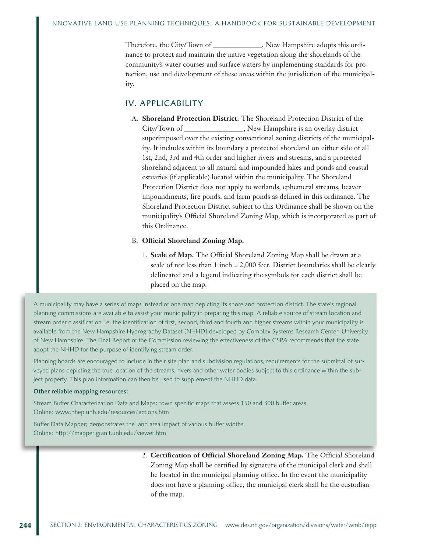Therefore, the City/Town of \_\_\_\_\_\_\_\_\_\_\_\_\_\_, New Hampshire adopts this ordinance to protect and maintain the native vegetation along the shorelands of the community's water courses and surface waters by implementing standards for protection, use and development of these areas within the jurisdiction of the municipality.

#### IV. APPLICABILITY

A. **Shoreland Protection District.** The Shoreland Protection District of the City/Town of The Results Rew Hampshire is an overlay district superimposed over the existing conventional zoning districts of the municipality. It includes within its boundary a protected shoreland on either side of all 1st, 2nd, 3rd and 4th order and higher rivers and streams, and a protected shoreland adjacent to all natural and impounded lakes and ponds and coastal estuaries (if applicable) located within the municipality. The Shoreland Protection District does not apply to wetlands, ephemeral streams, beaver impoundments, fire ponds, and farm ponds as defined in this ordinance. The Shoreland Protection District subject to this Ordinance shall be shown on the municipality's Official Shoreland Zoning Map, which is incorporated as part of this Ordinance.

#### B. **Official Shoreland Zoning Map.**

1. **Scale of Map.** The Official Shoreland Zoning Map shall be drawn at a scale of not less than 1 inch = 2,000 feet. District boundaries shall be clearly delineated and a legend indicating the symbols for each district shall be placed on the map.

A municipality may have a series of maps instead of one map depicting its shoreland protection district. The state's regional planning commissions are available to assist your municipality in preparing this map. A reliable source of stream location and stream order classification i.e. the identification of first, second, third and fourth and higher streams within your municipality is available from the New Hampshire Hydrography Dataset (NHHD) developed by Complex Systems Research Center, University of New Hampshire. The Final Report of the Commission reviewing the effectiveness of the CSPA recommends that the state adopt the NHHD for the purpose of identifying stream order.

Planning boards are encouraged to include in their site plan and subdivision regulations, requirements for the submittal of surveyed plans depicting the true location of the streams, rivers and other water bodies subject to this ordinance within the subject property. This plan information can then be used to supplement the NHHD data.

#### Other reliable mapping resources:

Stream Buffer Characterization Data and Maps; town specific maps that assess 150 and 300 buffer areas. Online: www.nhep.unh.edu/resources/actions.htm

Buffer Data Mapper; demonstrates the land area impact of various buffer widths. Online: http://mapper.granit.unh.edu/viewer.htm

> 2. **Certification of Official Shoreland Zoning Map.** The Official Shoreland Zoning Map shall be certified by signature of the municipal clerk and shall be located in the municipal planning office. In the event the municipality does not have a planning office, the municipal clerk shall be the custodian of the map.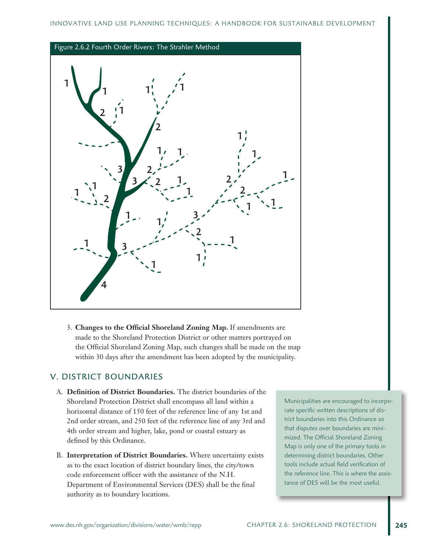

3. **Changes to the Official Shoreland Zoning Map.** If amendments are made to the Shoreland Protection District or other matters portrayed on the Official Shoreland Zoning Map, such changes shall be made on the map within 30 days after the amendment has been adopted by the municipality.

## V. DISTRICT BOUNDARIES

- A. **Definition of District Boundaries.** The district boundaries of the Shoreland Protection District shall encompass all land within a horizontal distance of 150 feet of the reference line of any 1st and 2nd order stream, and 250 feet of the reference line of any 3rd and 4th order stream and higher, lake, pond or coastal estuary as defined by this Ordinance.
- B. **Interpretation of District Boundaries.** Where uncertainty exists as to the exact location of district boundary lines, the city/town code enforcement officer with the assistance of the N.H. Department of Environmental Services (DES) shall be the final authority as to boundary locations.

Municipalities are encouraged to incorporate specific written descriptions of district boundaries into this Ordinance so that disputes over boundaries are minimized. The Official Shoreland Zoning Map is only one of the primary tools in determining district boundaries. Other tools include actual field verification of the reference line. This is where the assistance of DES will be the most useful.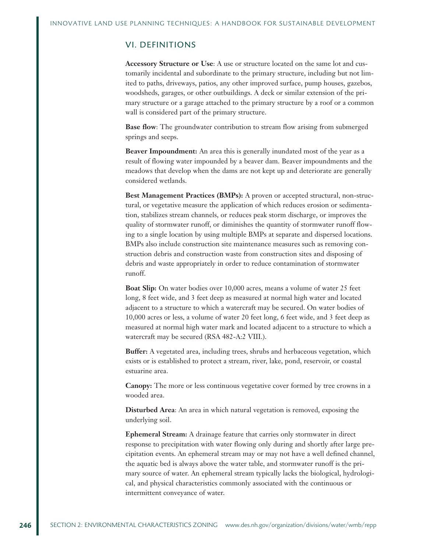#### VI. DEFINITIONS

**Accessory Structure or Use**: A use or structure located on the same lot and customarily incidental and subordinate to the primary structure, including but not limited to paths, driveways, patios, any other improved surface, pump houses, gazebos, woodsheds, garages, or other outbuildings. A deck or similar extension of the primary structure or a garage attached to the primary structure by a roof or a common wall is considered part of the primary structure.

**Base flow**: The groundwater contribution to stream flow arising from submerged springs and seeps.

**Beaver Impoundment:** An area this is generally inundated most of the year as a result of flowing water impounded by a beaver dam. Beaver impoundments and the meadows that develop when the dams are not kept up and deteriorate are generally considered wetlands.

**Best Management Practices (BMPs):** A proven or accepted structural, non-structural, or vegetative measure the application of which reduces erosion or sedimentation, stabilizes stream channels, or reduces peak storm discharge, or improves the quality of stormwater runoff, or diminishes the quantity of stormwater runoff flowing to a single location by using multiple BMPs at separate and dispersed locations. BMPs also include construction site maintenance measures such as removing construction debris and construction waste from construction sites and disposing of debris and waste appropriately in order to reduce contamination of stormwater runoff.

**Boat Slip:** On water bodies over 10,000 acres, means a volume of water 25 feet long, 8 feet wide, and 3 feet deep as measured at normal high water and located adjacent to a structure to which a watercraft may be secured. On water bodies of 10,000 acres or less, a volume of water 20 feet long, 6 feet wide, and 3 feet deep as measured at normal high water mark and located adjacent to a structure to which a watercraft may be secured (RSA 482-A:2 VIII.).

**Buffer:** A vegetated area, including trees, shrubs and herbaceous vegetation, which exists or is established to protect a stream, river, lake, pond, reservoir, or coastal estuarine area.

**Canopy:** The more or less continuous vegetative cover formed by tree crowns in a wooded area.

**Disturbed Area**: An area in which natural vegetation is removed, exposing the underlying soil.

**Ephemeral Stream:** A drainage feature that carries only stormwater in direct response to precipitation with water flowing only during and shortly after large precipitation events. An ephemeral stream may or may not have a well defined channel, the aquatic bed is always above the water table, and stormwater runoff is the primary source of water. An ephemeral stream typically lacks the biological, hydrological, and physical characteristics commonly associated with the continuous or intermittent conveyance of water.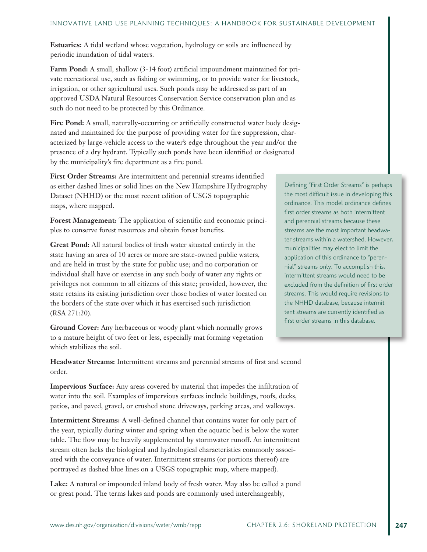**Estuaries:** A tidal wetland whose vegetation, hydrology or soils are influenced by periodic inundation of tidal waters.

**Farm Pond:** A small, shallow (3-14 foot) artificial impoundment maintained for private recreational use, such as fishing or swimming, or to provide water for livestock, irrigation, or other agricultural uses. Such ponds may be addressed as part of an approved USDA Natural Resources Conservation Service conservation plan and as such do not need to be protected by this Ordinance.

Fire Pond: A small, naturally-occurring or artificially constructed water body designated and maintained for the purpose of providing water for fire suppression, characterized by large-vehicle access to the water's edge throughout the year and/or the presence of a dry hydrant. Typically such ponds have been identified or designated by the municipality's fire department as a fire pond.

**First Order Streams:** Are intermittent and perennial streams identified as either dashed lines or solid lines on the New Hampshire Hydrography Dataset (NHHD) or the most recent edition of USGS topographic maps, where mapped.

**Forest Management:** The application of scientific and economic principles to conserve forest resources and obtain forest benefits.

**Great Pond:** All natural bodies of fresh water situated entirely in the state having an area of 10 acres or more are state-owned public waters, and are held in trust by the state for public use; and no corporation or individual shall have or exercise in any such body of water any rights or privileges not common to all citizens of this state; provided, however, the state retains its existing jurisdiction over those bodies of water located on the borders of the state over which it has exercised such jurisdiction (RSA 271:20).

**Ground Cover:** Any herbaceous or woody plant which normally grows to a mature height of two feet or less, especially mat forming vegetation which stabilizes the soil.

**Headwater Streams:** Intermittent streams and perennial streams of first and second order.

**Impervious Surface:** Any areas covered by material that impedes the infiltration of water into the soil. Examples of impervious surfaces include buildings, roofs, decks, patios, and paved, gravel, or crushed stone driveways, parking areas, and walkways.

**Intermittent Streams:** A well-defined channel that contains water for only part of the year, typically during winter and spring when the aquatic bed is below the water table. The flow may be heavily supplemented by stormwater runoff. An intermittent stream often lacks the biological and hydrological characteristics commonly associated with the conveyance of water. Intermittent streams (or portions thereof) are portrayed as dashed blue lines on a USGS topographic map, where mapped).

**Lake:** A natural or impounded inland body of fresh water. May also be called a pond or great pond. The terms lakes and ponds are commonly used interchangeably,

Defining "First Order Streams" is perhaps the most difficult issue in developing this ordinance. This model ordinance defines first order streams as both intermittent and perennial streams because these streams are the most important headwater streams within a watershed. However, municipalities may elect to limit the application of this ordinance to "perennial" streams only. To accomplish this, intermittent streams would need to be excluded from the definition of first order streams. This would require revisions to the NHHD database, because intermittent streams are currently identified as first order streams in this database.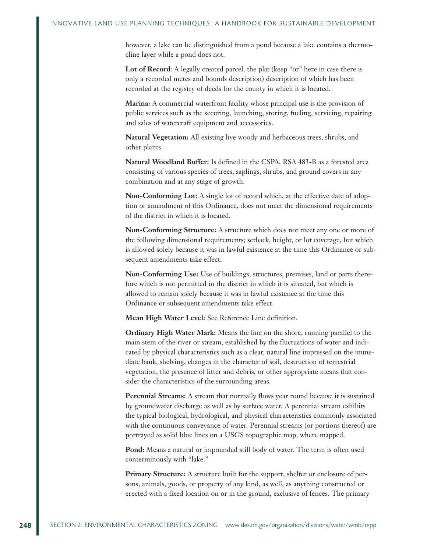however, a lake can be distinguished from a pond because a lake contains a thermocline layer while a pond does not.

Lot of Record: A legally created parcel, the plat (keep "or" here in case there is only a recorded metes and bounds description) description of which has been recorded at the registry of deeds for the county in which it is located.

**Marina:** A commercial waterfront facility whose principal use is the provision of public services such as the securing, launching, storing, fueling, servicing, repairing and sales of watercraft equipment and accessories.

**Natural Vegetation:** All existing live woody and herbaceous trees, shrubs, and other plants.

**Natural Woodland Buffer:** Is defined in the CSPA, RSA 483-B as a forested area consisting of various species of trees, saplings, shrubs, and ground covers in any combination and at any stage of growth.

**Non-Conforming Lot:** A single lot of record which, at the effective date of adoption or amendment of this Ordinance, does not meet the dimensional requirements of the district in which it is located.

**Non-Conforming Structure:** A structure which does not meet any one or more of the following dimensional requirements; setback, height, or lot coverage, but which is allowed solely because it was in lawful existence at the time this Ordinance or subsequent amendments take effect.

**Non-Conforming Use:** Use of buildings, structures, premises, land or parts therefore which is not permitted in the district in which it is situated, but which is allowed to remain solely because it was in lawful existence at the time this Ordinance or subsequent amendments take effect.

**Mean High Water Level:** See Reference Line definition.

**Ordinary High Water Mark:** Means the line on the shore, running parallel to the main stem of the river or stream, established by the fluctuations of water and indicated by physical characteristics such as a clear, natural line impressed on the immediate bank, shelving, changes in the character of soil, destruction of terrestrial vegetation, the presence of litter and debris, or other appropriate means that consider the characteristics of the surrounding areas.

**Perennial Streams:** A stream that normally flows year round because it is sustained by groundwater discharge as well as by surface water. A perennial stream exhibits the typical biological, hydrological, and physical characteristics commonly associated with the continuous conveyance of water. Perennial streams (or portions thereof) are portrayed as solid blue lines on a USGS topographic map, where mapped.

**Pond:** Means a natural or impounded still body of water. The term is often used conterminously with "lake."

**Primary Structure:** A structure built for the support, shelter or enclosure of persons, animals, goods, or property of any kind, as well, as anything constructed or erected with a fixed location on or in the ground, exclusive of fences. The primary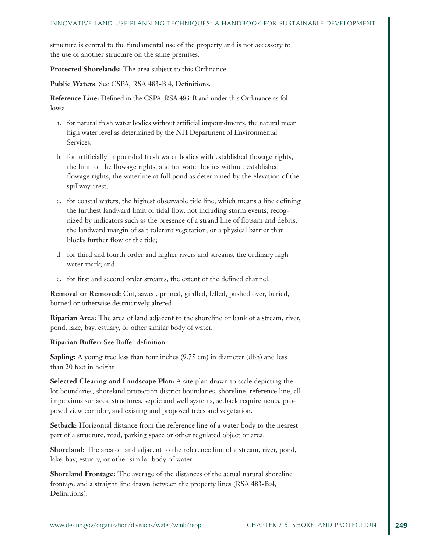structure is central to the fundamental use of the property and is not accessory to the use of another structure on the same premises.

**Protected Shorelands:** The area subject to this Ordinance.

**Public Waters**: See CSPA, RSA 483-B:4, Definitions.

**Reference Line:** Defined in the CSPA, RSA 483-B and under this Ordinance as follows:

- a. for natural fresh water bodies without artificial impoundments, the natural mean high water level as determined by the NH Department of Environmental Services;
- b. for artificially impounded fresh water bodies with established flowage rights, the limit of the flowage rights, and for water bodies without established flowage rights, the waterline at full pond as determined by the elevation of the spillway crest;
- c. for coastal waters, the highest observable tide line, which means a line defining the furthest landward limit of tidal flow, not including storm events, recognized by indicators such as the presence of a strand line of flotsam and debris, the landward margin of salt tolerant vegetation, or a physical barrier that blocks further flow of the tide;
- d. for third and fourth order and higher rivers and streams, the ordinary high water mark; and
- e. for first and second order streams, the extent of the defined channel.

**Removal or Removed:** Cut, sawed, pruned, girdled, felled, pushed over, buried, burned or otherwise destructively altered.

**Riparian Area:** The area of land adjacent to the shoreline or bank of a stream, river, pond, lake, bay, estuary, or other similar body of water.

**Riparian Buffer:** See Buffer definition.

**Sapling:** A young tree less than four inches (9.75 cm) in diameter (dbh) and less than 20 feet in height

**Selected Clearing and Landscape Plan:** A site plan drawn to scale depicting the lot boundaries, shoreland protection district boundaries, shoreline, reference line, all impervious surfaces, structures, septic and well systems, setback requirements, proposed view corridor, and existing and proposed trees and vegetation.

**Setback:** Horizontal distance from the reference line of a water body to the nearest part of a structure, road, parking space or other regulated object or area.

**Shoreland:** The area of land adjacent to the reference line of a stream, river, pond, lake, bay, estuary, or other similar body of water.

**Shoreland Frontage:** The average of the distances of the actual natural shoreline frontage and a straight line drawn between the property lines (RSA 483-B:4, Definitions).